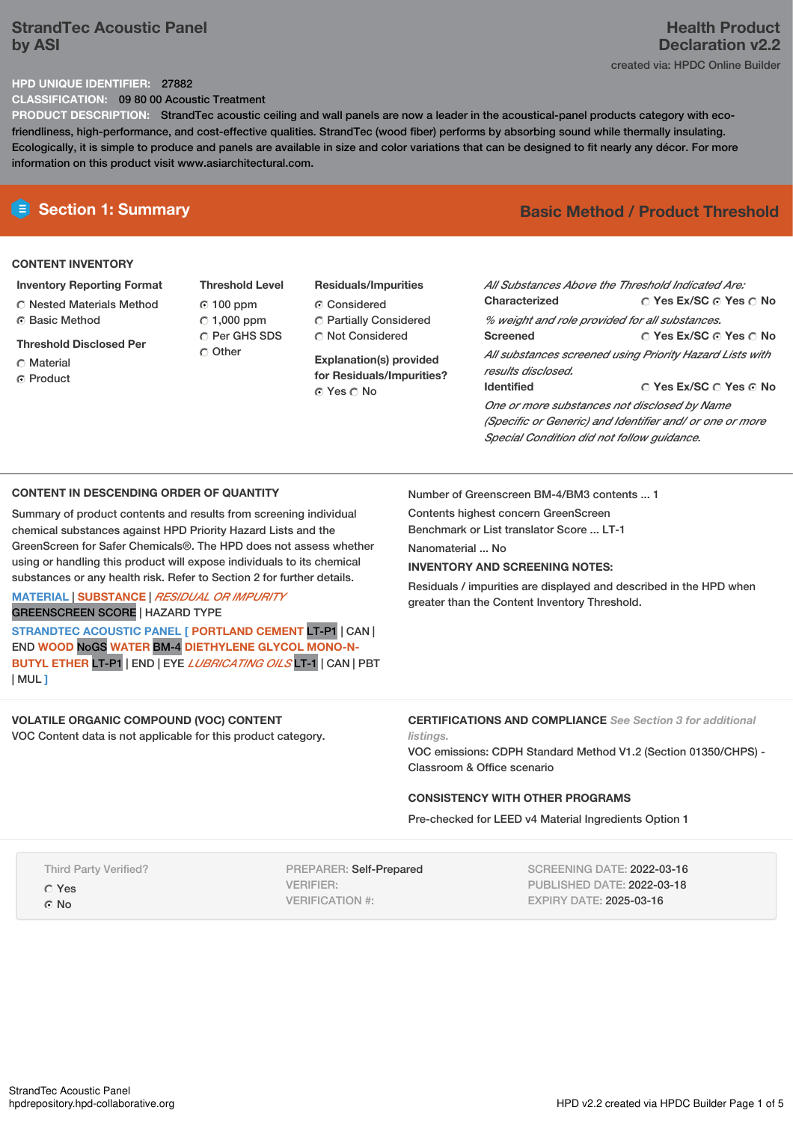# **StrandTec Acoustic Panel by ASI**

### **HPD UNIQUE IDENTIFIER:** 27882

**CLASSIFICATION:** 09 80 00 Acoustic Treatment

**PRODUCT DESCRIPTION:** StrandTec acoustic ceiling and wall panels are now a leader in the acoustical-panel products category with ecofriendliness, high-performance, and cost-effective qualities. StrandTec (wood fiber) performs by absorbing sound while thermally insulating. Ecologically, it is simple to produce and panels are available in size and color variations that can be designed to fit nearly any décor. For more information on this product visit www.asiarchitectural.com.

## **CONTENT INVENTORY**

- **Inventory Reporting Format** Nested Materials Method Basic Method
- 
- **Threshold Disclosed Per**
- C Material
- C Product

**Threshold Level** 100 ppm  $\degree$  1,000 ppm C Per GHS SDS C Other

# **Residuals/Impurities**

Considered Partially Considered C Not Considered

**Explanation(s) provided for Residuals/Impurities?** © Yes ∩ No

# **E** Section 1: Summary **Basic Method /** Product Threshold

**Yes Ex/SC Yes No Yes Ex/SC Yes No Yes Ex/SC Yes No** *All Substances Above the Threshold Indicated Are:* **Characterized** *% weight and role provided for all substances.* **Screened** *All substances screened using Priority Hazard Lists with results disclosed.* **Identified** *One or more substances not disclosed by Name (Specific or Generic) and Identifier and/ or one or more Special Condition did not follow guidance.*

## **CONTENT IN DESCENDING ORDER OF QUANTITY**

Summary of product contents and results from screening individual chemical substances against HPD Priority Hazard Lists and the GreenScreen for Safer Chemicals®. The HPD does not assess whether using or handling this product will expose individuals to its chemical substances or any health risk. Refer to Section 2 for further details.

## **MATERIAL** | **SUBSTANCE** | *RESIDUAL OR IMPURITY* GREENSCREEN SCORE | HAZARD TYPE

**STRANDTEC ACOUSTIC PANEL [ PORTLAND CEMENT** LT-P1 | CAN | END **WOOD** NoGS **WATER** BM-4 **DIETHYLENE GLYCOL MONO-N-BUTYL ETHER** LT-P1 | END | EYE *LUBRICATING OILS* LT-1 | CAN | PBT | MUL **]**

## **VOLATILE ORGANIC COMPOUND (VOC) CONTENT**

VOC Content data is not applicable for this product category.

Number of Greenscreen BM-4/BM3 contents ... 1

Contents highest concern GreenScreen

Benchmark or List translator Score ... LT-1

Nanomaterial ... No

## **INVENTORY AND SCREENING NOTES:**

Residuals / impurities are displayed and described in the HPD when greater than the Content Inventory Threshold.

## **CERTIFICATIONS AND COMPLIANCE** *See Section 3 for additional*

*listings.*

VOC emissions: CDPH Standard Method V1.2 (Section 01350/CHPS) - Classroom & Office scenario

## **CONSISTENCY WITH OTHER PROGRAMS**

Pre-checked for LEED v4 Material Ingredients Option 1

Third Party Verified?

Yes

© No

PREPARER: Self-Prepared VERIFIER: VERIFICATION #:

SCREENING DATE: 2022-03-16 PUBLISHED DATE: 2022-03-18 EXPIRY DATE: 2025-03-16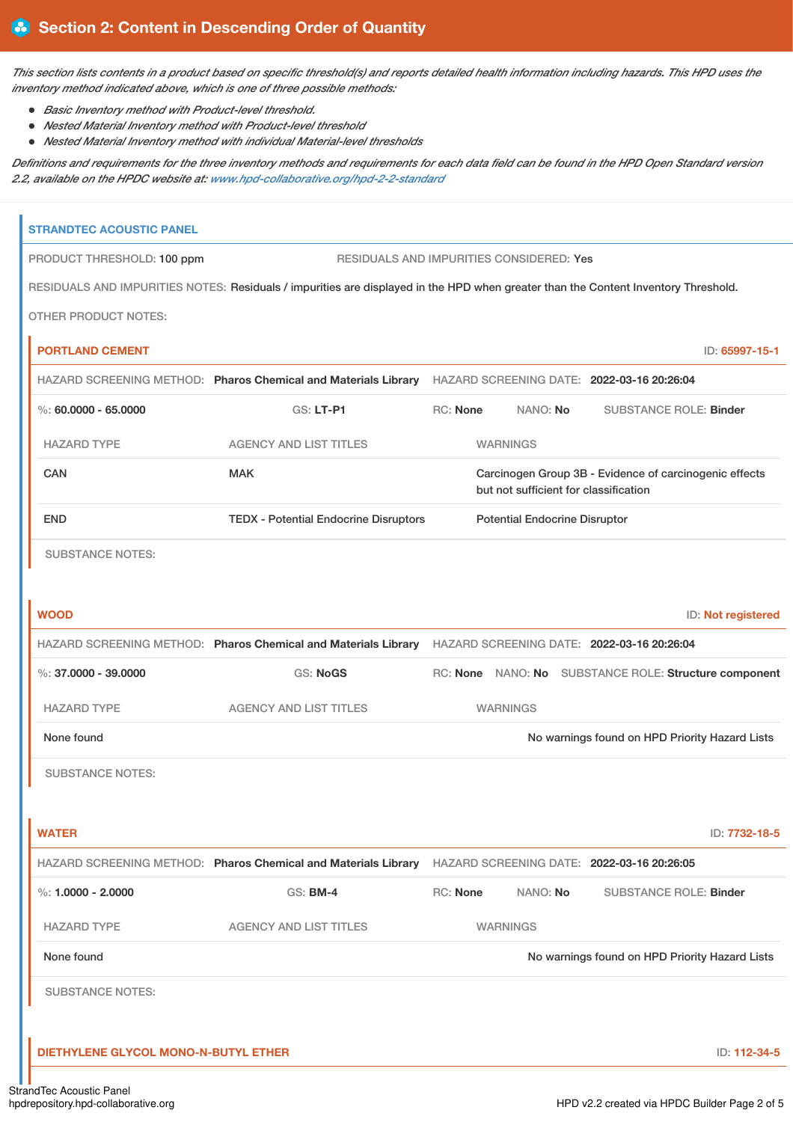This section lists contents in a product based on specific threshold(s) and reports detailed health information including hazards. This HPD uses the *inventory method indicated above, which is one of three possible methods:*

- *Basic Inventory method with Product-level threshold.*
- *Nested Material Inventory method with Product-level threshold*
- *Nested Material Inventory method with individual Material-level thresholds*

Definitions and requirements for the three inventory methods and requirements for each data field can be found in the HPD Open Standard version *2.2, available on the HPDC website at: [www.hpd-collaborative.org/hpd-2-2-standard](https://www.hpd-collaborative.org/hpd-2-2-standard)*

| <b>DIETHYLENE GLYCOL MONO-N-BUTYL ETHER</b> |                                                                                                                                    |                                                                               |                                                        |  |                                                |  |                    |
|---------------------------------------------|------------------------------------------------------------------------------------------------------------------------------------|-------------------------------------------------------------------------------|--------------------------------------------------------|--|------------------------------------------------|--|--------------------|
|                                             |                                                                                                                                    |                                                                               |                                                        |  |                                                |  | ID: 112-34-5       |
| <b>SUBSTANCE NOTES:</b>                     |                                                                                                                                    |                                                                               |                                                        |  |                                                |  |                    |
| None found                                  |                                                                                                                                    |                                                                               |                                                        |  | No warnings found on HPD Priority Hazard Lists |  |                    |
| <b>HAZARD TYPE</b>                          | <b>AGENCY AND LIST TITLES</b>                                                                                                      |                                                                               | <b>WARNINGS</b>                                        |  |                                                |  |                    |
| %: $1,0000 - 2,0000$                        | GS: BM-4                                                                                                                           | <b>RC: None</b>                                                               | NANO: No                                               |  | <b>SUBSTANCE ROLE: Binder</b>                  |  |                    |
|                                             | HAZARD SCREENING METHOD: Pharos Chemical and Materials Library HAZARD SCREENING DATE: 2022-03-16 20:26:05                          |                                                                               |                                                        |  |                                                |  |                    |
| <b>WATER</b>                                |                                                                                                                                    |                                                                               |                                                        |  |                                                |  | ID: 7732-18-5      |
| <b>SUBSTANCE NOTES:</b>                     |                                                                                                                                    |                                                                               |                                                        |  |                                                |  |                    |
| None found                                  |                                                                                                                                    |                                                                               |                                                        |  | No warnings found on HPD Priority Hazard Lists |  |                    |
| <b>HAZARD TYPE</b>                          | <b>AGENCY AND LIST TITLES</b>                                                                                                      |                                                                               | <b>WARNINGS</b>                                        |  |                                                |  |                    |
| $\%$ : 37.0000 - 39.0000                    | <b>GS: NoGS</b>                                                                                                                    |                                                                               | RC: None NANO: No SUBSTANCE ROLE: Structure component  |  |                                                |  |                    |
|                                             | HAZARD SCREENING METHOD: Pharos Chemical and Materials Library HAZARD SCREENING DATE: 2022-03-16 20:26:04                          |                                                                               |                                                        |  |                                                |  |                    |
| <b>WOOD</b>                                 |                                                                                                                                    |                                                                               |                                                        |  |                                                |  | ID: Not registered |
|                                             |                                                                                                                                    |                                                                               |                                                        |  |                                                |  |                    |
| <b>SUBSTANCE NOTES:</b>                     |                                                                                                                                    |                                                                               |                                                        |  |                                                |  |                    |
| <b>END</b>                                  | <b>TEDX - Potential Endocrine Disruptors</b>                                                                                       | but not sufficient for classification<br><b>Potential Endocrine Disruptor</b> |                                                        |  |                                                |  |                    |
| <b>CAN</b>                                  | <b>MAK</b>                                                                                                                         |                                                                               | Carcinogen Group 3B - Evidence of carcinogenic effects |  |                                                |  |                    |
| <b>HAZARD TYPE</b>                          | <b>AGENCY AND LIST TITLES</b>                                                                                                      |                                                                               | <b>WARNINGS</b>                                        |  |                                                |  |                    |
| $\%$ : 60.0000 - 65.0000                    | GS: LT-P1                                                                                                                          | RC: None                                                                      | NANO: No                                               |  | <b>SUBSTANCE ROLE: Binder</b>                  |  |                    |
|                                             | HAZARD SCREENING METHOD: Pharos Chemical and Materials Library HAZARD SCREENING DATE: 2022-03-16 20:26:04                          |                                                                               |                                                        |  |                                                |  |                    |
| <b>PORTLAND CEMENT</b>                      |                                                                                                                                    |                                                                               |                                                        |  |                                                |  | ID: 65997-15-1     |
| <b>OTHER PRODUCT NOTES:</b>                 |                                                                                                                                    |                                                                               |                                                        |  |                                                |  |                    |
| PRODUCT THRESHOLD: 100 ppm                  | RESIDUALS AND IMPURITIES NOTES: Residuals / impurities are displayed in the HPD when greater than the Content Inventory Threshold. |                                                                               |                                                        |  |                                                |  |                    |
|                                             |                                                                                                                                    |                                                                               | <b>RESIDUALS AND IMPURITIES CONSIDERED: Yes</b>        |  |                                                |  |                    |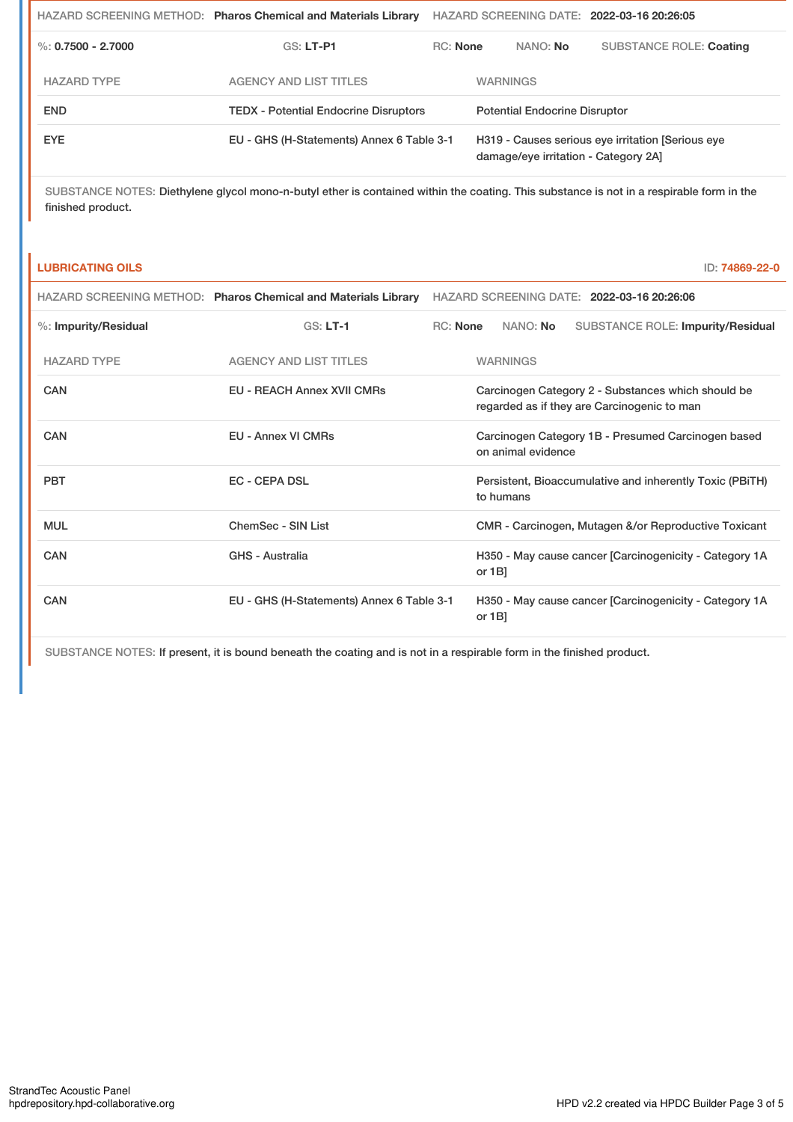|                    | HAZARD SCREENING METHOD: Pharos Chemical and Materials Library |          |                                      |                                                                                          | HAZARD SCREENING DATE: 2022-03-16 20:26:05 |  |
|--------------------|----------------------------------------------------------------|----------|--------------------------------------|------------------------------------------------------------------------------------------|--------------------------------------------|--|
| %: 0.7500 - 2.7000 | $GS: LT-PI$                                                    | RC: None |                                      | NANO: No                                                                                 | <b>SUBSTANCE ROLE: Coating</b>             |  |
| <b>HAZARD TYPE</b> | <b>AGENCY AND LIST TITLES</b>                                  |          | <b>WARNINGS</b>                      |                                                                                          |                                            |  |
| <b>END</b>         | <b>TEDX - Potential Endocrine Disruptors</b>                   |          | <b>Potential Endocrine Disruptor</b> |                                                                                          |                                            |  |
| EYE.               | EU - GHS (H-Statements) Annex 6 Table 3-1                      |          |                                      | H319 - Causes serious eye irritation Serious eye<br>damage/eye irritation - Category 2A] |                                            |  |

SUBSTANCE NOTES: Diethylene glycol mono-n-butyl ether is contained within the coating. This substance is not in a respirable form in the finished product.

### **LUBRICATING OILS** ID: **74869-22-0**

|                      | HAZARD SCREENING METHOD: Pharos Chemical and Materials Library |                 |                                                                                                   |                 | HAZARD SCREENING DATE: 2022-03-16 20:26:06               |  |  |
|----------------------|----------------------------------------------------------------|-----------------|---------------------------------------------------------------------------------------------------|-----------------|----------------------------------------------------------|--|--|
| %: Impurity/Residual | $GS: LT-1$                                                     | <b>RC:</b> None |                                                                                                   | NANO: <b>No</b> | <b>SUBSTANCE ROLE: Impurity/Residual</b>                 |  |  |
| <b>HAZARD TYPE</b>   | <b>AGENCY AND LIST TITLES</b>                                  |                 |                                                                                                   | <b>WARNINGS</b> |                                                          |  |  |
| CAN                  | <b>EU - REACH Annex XVII CMRs</b>                              |                 | Carcinogen Category 2 - Substances which should be<br>regarded as if they are Carcinogenic to man |                 |                                                          |  |  |
| CAN                  | <b>EU - Annex VI CMRs</b>                                      |                 | Carcinogen Category 1B - Presumed Carcinogen based<br>on animal evidence                          |                 |                                                          |  |  |
| <b>PBT</b>           | <b>EC - CEPA DSL</b>                                           |                 |                                                                                                   | to humans       | Persistent, Bioaccumulative and inherently Toxic (PBITH) |  |  |
| <b>MUL</b>           | ChemSec - SIN List                                             |                 | CMR - Carcinogen, Mutagen &/or Reproductive Toxicant                                              |                 |                                                          |  |  |
| CAN                  | <b>GHS - Australia</b>                                         |                 | or $1B$                                                                                           |                 | H350 - May cause cancer [Carcinogenicity - Category 1A   |  |  |
| CAN                  | EU - GHS (H-Statements) Annex 6 Table 3-1                      |                 | H350 - May cause cancer [Carcinogenicity - Category 1A<br>or $1B$ ]                               |                 |                                                          |  |  |

SUBSTANCE NOTES: If present, it is bound beneath the coating and is not in a respirable form in the finished product.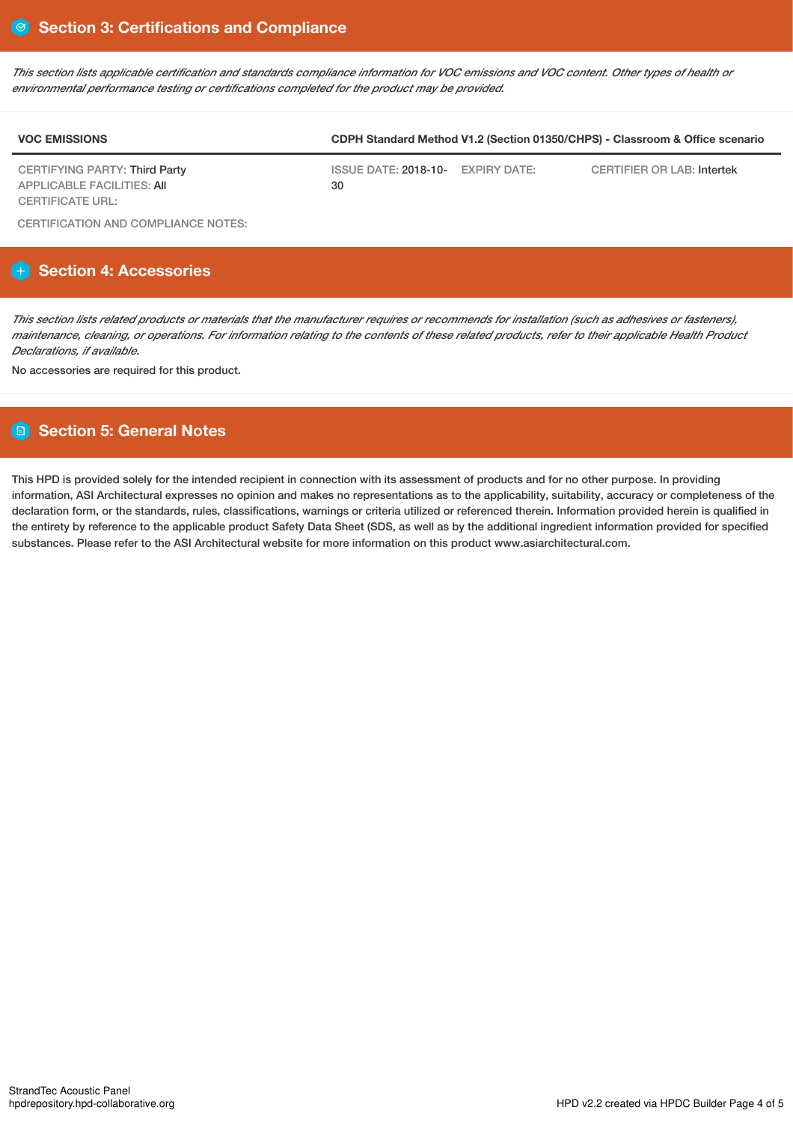This section lists applicable certification and standards compliance information for VOC emissions and VOC content. Other types of health or *environmental performance testing or certifications completed for the product may be provided.*

| <b>VOC EMISSIONS</b>                                        | CDPH Standard Method V1.2 (Section 01350/CHPS) - Classroom & Office scenario |  |                            |  |  |  |  |
|-------------------------------------------------------------|------------------------------------------------------------------------------|--|----------------------------|--|--|--|--|
| CERTIFYING PARTY: Third Party<br>APPLICABLE FACILITIES: AII | ISSUE DATE: 2018-10- EXPIRY DATE:<br>30                                      |  | CERTIFIER OR LAB: Intertek |  |  |  |  |
| CERTIFICATE URL:                                            |                                                                              |  |                            |  |  |  |  |

CERTIFICATION AND COMPLIANCE NOTES:

## **Section 4: Accessories**

This section lists related products or materials that the manufacturer requires or recommends for installation (such as adhesives or fasteners), maintenance, cleaning, or operations. For information relating to the contents of these related products, refer to their applicable Health Product *Declarations, if available.*

No accessories are required for this product.

## **Section 5: General Notes**

This HPD is provided solely for the intended recipient in connection with its assessment of products and for no other purpose. In providing information, ASI Architectural expresses no opinion and makes no representations as to the applicability, suitability, accuracy or completeness of the declaration form, or the standards, rules, classifications, warnings or criteria utilized or referenced therein. Information provided herein is qualified in the entirety by reference to the applicable product Safety Data Sheet (SDS, as well as by the additional ingredient information provided for specified substances. Please refer to the ASI Architectural website for more information on this product www.asiarchitectural.com.